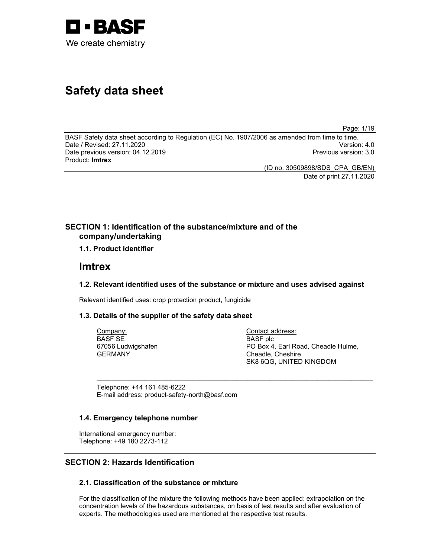

# Safety data sheet

Page: 1/19

BASF Safety data sheet according to Regulation (EC) No. 1907/2006 as amended from time to time. Date / Revised: 27.11.2020 Version: 4.0 Date previous version: 04.12.2019 **Previous version: 3.0** Previous version: 3.0 Product: Imtrex

> (ID no. 30509898/SDS\_CPA\_GB/EN) Date of print 27.11.2020

# SECTION 1: Identification of the substance/mixture and of the company/undertaking

1.1. Product identifier

# Imtrex

# 1.2. Relevant identified uses of the substance or mixture and uses advised against

 $\sim$  . The contribution of the contribution of the contribution of the contribution of the contribution of the contribution of the contribution of the contribution of the contribution of the contribution of the contributi

Relevant identified uses: crop protection product, fungicide

# 1.3. Details of the supplier of the safety data sheet

Company: BASF SE 67056 Ludwigshafen GERMANY

Contact address: BASF plc PO Box 4, Earl Road, Cheadle Hulme, Cheadle, Cheshire SK8 6QG, UNITED KINGDOM

Telephone: +44 161 485-6222 E-mail address: product-safety-north@basf.com

# 1.4. Emergency telephone number

International emergency number: Telephone: +49 180 2273-112

# SECTION 2: Hazards Identification

# 2.1. Classification of the substance or mixture

For the classification of the mixture the following methods have been applied: extrapolation on the concentration levels of the hazardous substances, on basis of test results and after evaluation of experts. The methodologies used are mentioned at the respective test results.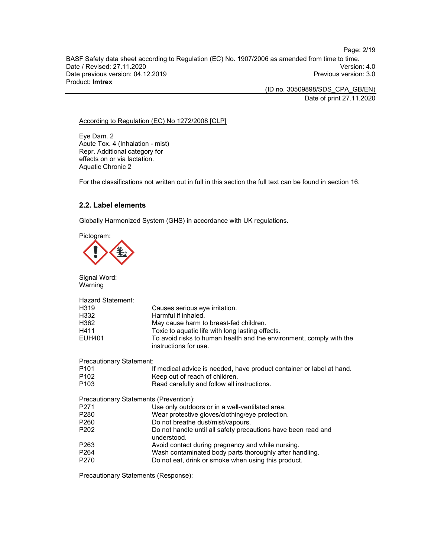BASF Safety data sheet according to Regulation (EC) No. 1907/2006 as amended from time to time. Date / Revised: 27.11.2020 Date previous version: 04.12.2019 **Previous version: 3.0** Previous version: 3.0 Product: Imtrex

(ID no. 30509898/SDS\_CPA\_GB/EN)

Date of print 27.11.2020

## According to Regulation (EC) No 1272/2008 [CLP]

Eye Dam. 2 Acute Tox. 4 (Inhalation - mist) Repr. Additional category for effects on or via lactation. Aquatic Chronic 2

For the classifications not written out in full in this section the full text can be found in section 16.

# 2.2. Label elements

Globally Harmonized System (GHS) in accordance with UK regulations.



Signal Word:

| Warning                  |                                                                                              |
|--------------------------|----------------------------------------------------------------------------------------------|
| <b>Hazard Statement:</b> |                                                                                              |
| H319                     | Causes serious eye irritation.                                                               |
| H332                     | Harmful if inhaled.                                                                          |
| H362                     | May cause harm to breast-fed children.                                                       |
| H411                     | Toxic to aquatic life with long lasting effects.                                             |
| <b>EUH401</b>            | To avoid risks to human health and the environment, comply with the<br>instructions for use. |
| Precautionary Statement: |                                                                                              |
| P <sub>101</sub>         | If medical advice is needed, have product container or label at hand.                        |
| P <sub>102</sub>         | Keep out of reach of children.                                                               |
| P <sub>103</sub>         | Read carefully and follow all instructions.                                                  |
|                          | Precautionary Statements (Prevention):                                                       |
| P271                     | Use only outdoors or in a well-ventilated area.                                              |
| P280                     | Wear protective gloves/clothing/eye protection.                                              |
| P260                     | Do not breathe dust/mist/vapours.                                                            |
| P <sub>202</sub>         | Do not handle until all safety precautions have been read and<br>understood.                 |
| P263                     | Avoid contact during pregnancy and while nursing.                                            |
| P264                     | Wash contaminated body parts thoroughly after handling.                                      |
| P270                     | Do not eat, drink or smoke when using this product.                                          |

Precautionary Statements (Response):

Page: 2/19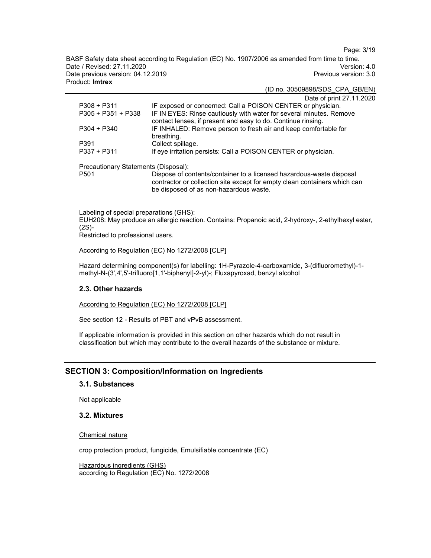Page: 3/19

BASF Safety data sheet according to Regulation (EC) No. 1907/2006 as amended from time to time. Date / Revised: 27.11.2020 Version: 4.0 Date previous version: 04.12.2019 **Previous version: 3.0** Previous version: 3.0 Product: Imtrex

(ID no. 30509898/SDS\_CPA\_GB/EN)

|                                      | Date of print 27.11.2020                                                                                                                          |
|--------------------------------------|---------------------------------------------------------------------------------------------------------------------------------------------------|
| P308 + P311                          | IF exposed or concerned: Call a POISON CENTER or physician.                                                                                       |
| P305 + P351 + P338                   | IF IN EYES: Rinse cautiously with water for several minutes. Remove                                                                               |
|                                      | contact lenses, if present and easy to do. Continue rinsing.                                                                                      |
| P304 + P340                          | IF INHALED: Remove person to fresh air and keep comfortable for                                                                                   |
|                                      | breathing.                                                                                                                                        |
| P391                                 | Collect spillage.                                                                                                                                 |
| P337 + P311                          | If eye irritation persists: Call a POISON CENTER or physician.                                                                                    |
| Precautionary Statements (Disposal): |                                                                                                                                                   |
| P501                                 | Dispose of contents/container to a licensed hazardous-waste disposal<br>contractor or collection site except for empty clean containers which can |
|                                      | be disposed of as non-hazardous waste.                                                                                                            |

Labeling of special preparations (GHS): EUH208: May produce an allergic reaction. Contains: Propanoic acid, 2-hydroxy-, 2-ethylhexyl ester, (2S)-

Restricted to professional users.

According to Regulation (EC) No 1272/2008 [CLP]

Hazard determining component(s) for labelling: 1H-Pyrazole-4-carboxamide, 3-(difluoromethyl)-1 methyl-N-(3',4',5'-trifluoro[1,1'-biphenyl]-2-yl)-; Fluxapyroxad, benzyl alcohol

#### 2.3. Other hazards

According to Regulation (EC) No 1272/2008 [CLP]

See section 12 - Results of PBT and vPvB assessment.

If applicable information is provided in this section on other hazards which do not result in classification but which may contribute to the overall hazards of the substance or mixture.

# SECTION 3: Composition/Information on Ingredients

## 3.1. Substances

Not applicable

# 3.2. Mixtures

Chemical nature

crop protection product, fungicide, Emulsifiable concentrate (EC)

Hazardous ingredients (GHS) according to Regulation (EC) No. 1272/2008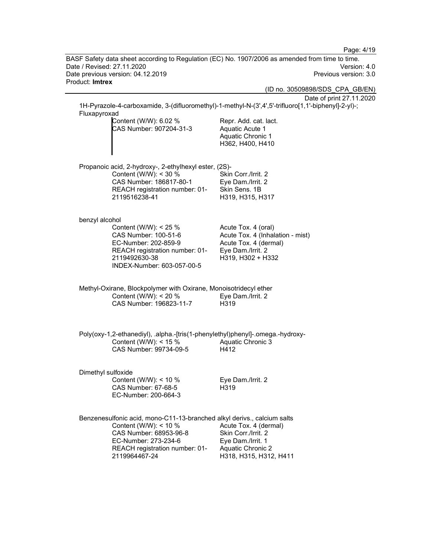Page: 4/19 BASF Safety data sheet according to Regulation (EC) No. 1907/2006 as amended from time to time. Date / Revised: 27.11.2020 Version: 4.0 Date previous version: 04.12.2019 **Previous version: 3.0** Previous version: 3.0 Product: Imtrex (ID no. 30509898/SDS\_CPA\_GB/EN) Date of print 27.11.2020 1H-Pyrazole-4-carboxamide, 3-(difluoromethyl)-1-methyl-N-(3',4',5'-trifluoro[1,1'-biphenyl]-2-yl)-; Fluxapyroxad Content (W/W): 6.02 % CAS Number: 907204-31-3 Repr. Add. cat. lact. Aquatic Acute 1 Aquatic Chronic 1 H362, H400, H410 Propanoic acid, 2-hydroxy-, 2-ethylhexyl ester, (2S)- Content (W/W): < 30 % CAS Number: 186817-80-1 REACH registration number: 01- 2119516238-41 Skin Corr./Irrit. 2 Eye Dam./Irrit. 2 Skin Sens. 1B H319, H315, H317 benzyl alcohol Content (W/W): < 25 % CAS Number: 100-51-6 EC-Number: 202-859-9 REACH registration number: 01- 2119492630-38 INDEX-Number: 603-057-00-5 Acute Tox. 4 (oral) Acute Tox. 4 (Inhalation - mist) Acute Tox. 4 (dermal) Eye Dam./Irrit. 2 H319, H302 + H332 Methyl-Oxirane, Blockpolymer with Oxirane, Monoisotridecyl ether Content (W/W): < 20 % CAS Number: 196823-11-7 Eye Dam./Irrit. 2 H319 Poly(oxy-1,2-ethanediyl), .alpha.-[tris(1-phenylethyl)phenyl]-.omega.-hydroxy-Content (W/W):  $<$  15 % CAS Number: 99734-09-5 Aquatic Chronic 3 H412 Dimethyl sulfoxide Content (W/W): < 10 % CAS Number: 67-68-5 EC-Number: 200-664-3 Eye Dam./Irrit. 2 H319 Benzenesulfonic acid, mono-C11-13-branched alkyl derivs., calcium salts Content (W/W): < 10 % CAS Number: 68953-96-8 EC-Number: 273-234-6 REACH registration number: 01- 2119964467-24 Acute Tox. 4 (dermal) Skin Corr./Irrit. 2 Eye Dam./Irrit. 1 Aquatic Chronic 2 H318, H315, H312, H411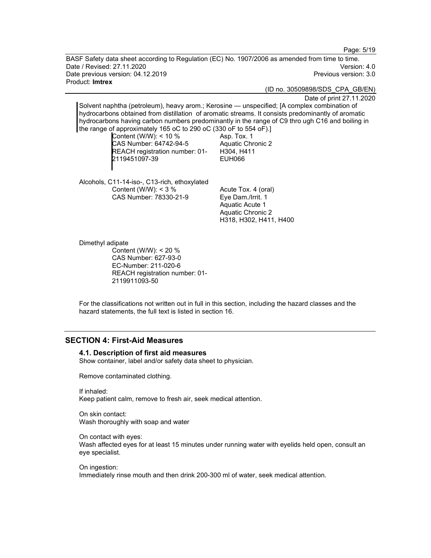Page: 5/19

BASF Safety data sheet according to Regulation (EC) No. 1907/2006 as amended from time to time. Date / Revised: 27.11.2020 Version: 4.0 Date previous version: 04.12.2019 **Previous version: 3.0** Previous version: 3.0 Product: Imtrex

(ID no. 30509898/SDS\_CPA\_GB/EN)

Date of print 27.11.2020

Solvent naphtha (petroleum), heavy arom.; Kerosine — unspecified; [A complex combination of hydrocarbons obtained from distillation of aromatic streams. It consists predominantly of aromatic hydrocarbons having carbon numbers predominantly in the range of C9 thro ugh C16 and boiling in the range of approximately 165 oC to 290 oC (330 oF to 554 oF).]

Content (W/W): < 10 % CAS Number: 64742-94-5 REACH registration number: 01- 2119451097-39

Asp. Tox. 1 Aquatic Chronic 2 H304, H411 EUH066

Alcohols, C11-14-iso-, C13-rich, ethoxylated Content (W/W): < 3 % CAS Number: 78330-21-9

Acute Tox. 4 (oral) Eye Dam./Irrit. 1 Aquatic Acute 1 Aquatic Chronic 2 H318, H302, H411, H400

Dimethyl adipate

Content (W/W): < 20 % CAS Number: 627-93-0 EC-Number: 211-020-6 REACH registration number: 01- 2119911093-50

For the classifications not written out in full in this section, including the hazard classes and the hazard statements, the full text is listed in section 16.

# SECTION 4: First-Aid Measures

#### 4.1. Description of first aid measures

Show container, label and/or safety data sheet to physician.

Remove contaminated clothing.

If inhaled:

Keep patient calm, remove to fresh air, seek medical attention.

On skin contact: Wash thoroughly with soap and water

On contact with eyes: Wash affected eyes for at least 15 minutes under running water with eyelids held open, consult an eye specialist.

On ingestion: Immediately rinse mouth and then drink 200-300 ml of water, seek medical attention.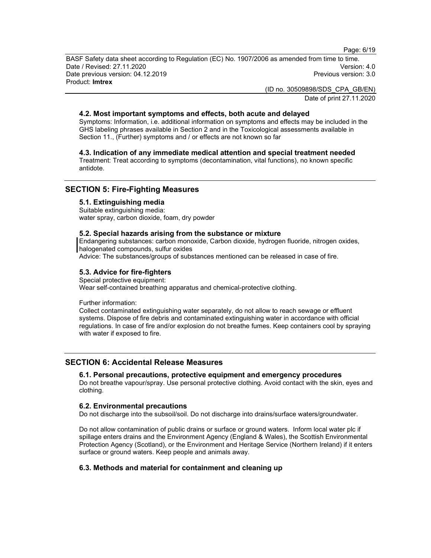Page: 6/19

BASF Safety data sheet according to Regulation (EC) No. 1907/2006 as amended from time to time. Date / Revised: 27.11.2020 Version: 4.0 Date previous version: 04.12.2019 **Previous version: 3.0** Previous version: 3.0 Product: Imtrex

> (ID no. 30509898/SDS\_CPA\_GB/EN) Date of print 27.11.2020

# 4.2. Most important symptoms and effects, both acute and delayed

Symptoms: Information, i.e. additional information on symptoms and effects may be included in the GHS labeling phrases available in Section 2 and in the Toxicological assessments available in Section 11., (Further) symptoms and / or effects are not known so far

4.3. Indication of any immediate medical attention and special treatment needed

Treatment: Treat according to symptoms (decontamination, vital functions), no known specific antidote.

# SECTION 5: Fire-Fighting Measures

# 5.1. Extinguishing media

Suitable extinguishing media: water spray, carbon dioxide, foam, dry powder

## 5.2. Special hazards arising from the substance or mixture

Endangering substances: carbon monoxide, Carbon dioxide, hydrogen fluoride, nitrogen oxides, halogenated compounds, sulfur oxides

Advice: The substances/groups of substances mentioned can be released in case of fire.

## 5.3. Advice for fire-fighters

Special protective equipment: Wear self-contained breathing apparatus and chemical-protective clothing.

Further information:

Collect contaminated extinguishing water separately, do not allow to reach sewage or effluent systems. Dispose of fire debris and contaminated extinguishing water in accordance with official regulations. In case of fire and/or explosion do not breathe fumes. Keep containers cool by spraying with water if exposed to fire.

# SECTION 6: Accidental Release Measures

#### 6.1. Personal precautions, protective equipment and emergency procedures

Do not breathe vapour/spray. Use personal protective clothing. Avoid contact with the skin, eyes and clothing.

#### 6.2. Environmental precautions

Do not discharge into the subsoil/soil. Do not discharge into drains/surface waters/groundwater.

Do not allow contamination of public drains or surface or ground waters. Inform local water plc if spillage enters drains and the Environment Agency (England & Wales), the Scottish Environmental Protection Agency (Scotland), or the Environment and Heritage Service (Northern Ireland) if it enters surface or ground waters. Keep people and animals away.

# 6.3. Methods and material for containment and cleaning up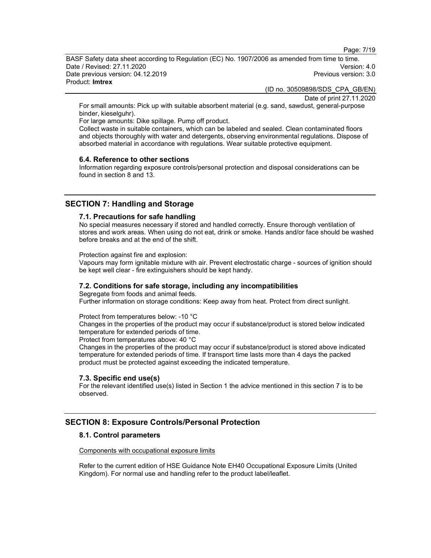Page: 7/19

BASF Safety data sheet according to Regulation (EC) No. 1907/2006 as amended from time to time. Date / Revised: 27.11.2020 Version: 4.0 Date previous version: 04.12.2019 **Previous version: 3.0** Previous version: 3.0 Product: Imtrex

(ID no. 30509898/SDS\_CPA\_GB/EN)

Date of print 27.11.2020

For small amounts: Pick up with suitable absorbent material (e.g. sand, sawdust, general-purpose binder, kieselguhr).

For large amounts: Dike spillage. Pump off product.

Collect waste in suitable containers, which can be labeled and sealed. Clean contaminated floors and objects thoroughly with water and detergents, observing environmental regulations. Dispose of absorbed material in accordance with regulations. Wear suitable protective equipment.

#### 6.4. Reference to other sections

Information regarding exposure controls/personal protection and disposal considerations can be found in section 8 and 13.

# SECTION 7: Handling and Storage

#### 7.1. Precautions for safe handling

No special measures necessary if stored and handled correctly. Ensure thorough ventilation of stores and work areas. When using do not eat, drink or smoke. Hands and/or face should be washed before breaks and at the end of the shift.

Protection against fire and explosion:

Vapours may form ignitable mixture with air. Prevent electrostatic charge - sources of ignition should be kept well clear - fire extinguishers should be kept handy.

#### 7.2. Conditions for safe storage, including any incompatibilities

Segregate from foods and animal feeds. Further information on storage conditions: Keep away from heat. Protect from direct sunlight.

Protect from temperatures below: -10 °C Changes in the properties of the product may occur if substance/product is stored below indicated temperature for extended periods of time.

Protect from temperatures above: 40 °C

Changes in the properties of the product may occur if substance/product is stored above indicated temperature for extended periods of time. If transport time lasts more than 4 days the packed product must be protected against exceeding the indicated temperature.

#### 7.3. Specific end use(s)

For the relevant identified use(s) listed in Section 1 the advice mentioned in this section 7 is to be observed.

# SECTION 8: Exposure Controls/Personal Protection

### 8.1. Control parameters

## Components with occupational exposure limits

Refer to the current edition of HSE Guidance Note EH40 Occupational Exposure Limits (United Kingdom). For normal use and handling refer to the product label/leaflet.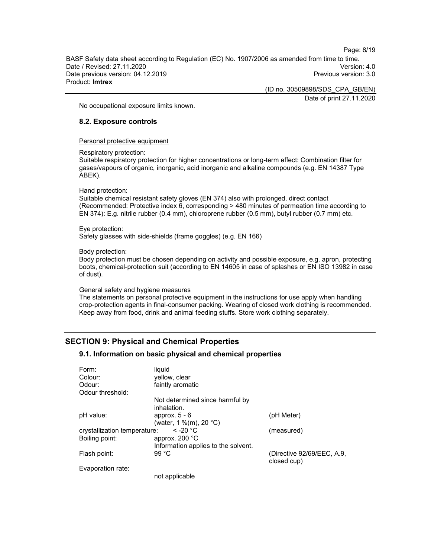Page: 8/19

BASF Safety data sheet according to Regulation (EC) No. 1907/2006 as amended from time to time. Date / Revised: 27.11.2020 Version: 4.0 Date previous version: 04.12.2019 **Previous version: 3.0** Previous version: 3.0 Product: Imtrex

(ID no. 30509898/SDS\_CPA\_GB/EN)

Date of print 27.11.2020

No occupational exposure limits known.

### 8.2. Exposure controls

Personal protective equipment

Respiratory protection:

Suitable respiratory protection for higher concentrations or long-term effect: Combination filter for gases/vapours of organic, inorganic, acid inorganic and alkaline compounds (e.g. EN 14387 Type ABEK).

#### Hand protection:

Suitable chemical resistant safety gloves (EN 374) also with prolonged, direct contact (Recommended: Protective index 6, corresponding > 480 minutes of permeation time according to EN 374): E.g. nitrile rubber (0.4 mm), chloroprene rubber (0.5 mm), butyl rubber (0.7 mm) etc.

#### Eye protection:

Safety glasses with side-shields (frame goggles) (e.g. EN 166)

#### Body protection:

Body protection must be chosen depending on activity and possible exposure, e.g. apron, protecting boots, chemical-protection suit (according to EN 14605 in case of splashes or EN ISO 13982 in case of dust).

#### General safety and hygiene measures

The statements on personal protective equipment in the instructions for use apply when handling crop-protection agents in final-consumer packing. Wearing of closed work clothing is recommended. Keep away from food, drink and animal feeding stuffs. Store work clothing separately.

# SECTION 9: Physical and Chemical Properties

#### 9.1. Information on basic physical and chemical properties

| Form:                        | liquid                                         |                                           |
|------------------------------|------------------------------------------------|-------------------------------------------|
| Colour:                      | yellow, clear                                  |                                           |
| Odour:                       | faintly aromatic                               |                                           |
| Odour threshold:             |                                                |                                           |
|                              | Not determined since harmful by<br>inhalation. |                                           |
| pH value:                    | approx. $5 - 6$<br>(water, 1 %(m), 20 °C)      | (pH Meter)                                |
| crystallization temperature: | $\leq$ -20 °C                                  | (measured)                                |
| Boiling point:               | approx. $200 °C$                               |                                           |
|                              | Information applies to the solvent.            |                                           |
| Flash point:                 | 99 °C                                          | (Directive 92/69/EEC, A.9,<br>closed cup) |
| Evaporation rate:            |                                                |                                           |
|                              | not annliaghla                                 |                                           |

not applicable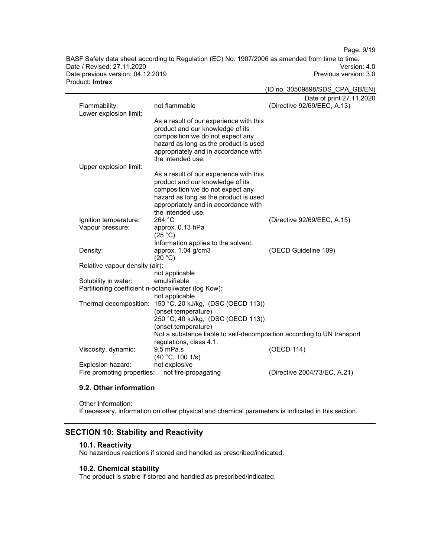Page: 9/19

BASF Safety data sheet according to Regulation (EC) No. 1907/2006 as amended from time to time. Date / Revised: 27.11.2020 Date previous version: 04.12.2019 **Previous version: 3.0** Previous version: 3.0 Product: Imtrex

|                                                     |                                                                                               | (ID no. 30509898/SDS_CPA_GB/EN) |
|-----------------------------------------------------|-----------------------------------------------------------------------------------------------|---------------------------------|
|                                                     |                                                                                               | Date of print 27.11.2020        |
| Flammability:                                       | not flammable                                                                                 | (Directive 92/69/EEC, A.13)     |
| Lower explosion limit:                              | As a result of our experience with this                                                       |                                 |
|                                                     | product and our knowledge of its                                                              |                                 |
|                                                     | composition we do not expect any                                                              |                                 |
|                                                     | hazard as long as the product is used                                                         |                                 |
|                                                     | appropriately and in accordance with<br>the intended use.                                     |                                 |
| Upper explosion limit:                              |                                                                                               |                                 |
|                                                     | As a result of our experience with this                                                       |                                 |
|                                                     | product and our knowledge of its                                                              |                                 |
|                                                     | composition we do not expect any<br>hazard as long as the product is used                     |                                 |
|                                                     | appropriately and in accordance with                                                          |                                 |
|                                                     | the intended use.                                                                             |                                 |
| Ignition temperature:                               | 264 °C                                                                                        | (Directive 92/69/EEC, A.15)     |
| Vapour pressure:                                    | approx. 0.13 hPa<br>(25 °C)                                                                   |                                 |
|                                                     | Information applies to the solvent.                                                           |                                 |
| Density:                                            | approx. 1.04 g/cm3                                                                            | (OECD Guideline 109)            |
|                                                     | (20 °C)                                                                                       |                                 |
| Relative vapour density (air):                      | not applicable                                                                                |                                 |
| Solubility in water:                                | emulsifiable                                                                                  |                                 |
| Partitioning coefficient n-octanol/water (log Kow): |                                                                                               |                                 |
|                                                     | not applicable                                                                                |                                 |
|                                                     | Thermal decomposition: 150 °C, 20 kJ/kg, (DSC (OECD 113))                                     |                                 |
|                                                     | (onset temperature)                                                                           |                                 |
|                                                     | 250 °C, 40 kJ/kg, (DSC (OECD 113))                                                            |                                 |
|                                                     | (onset temperature)<br>Not a substance liable to self-decomposition according to UN transport |                                 |
|                                                     | regulations, class 4.1.                                                                       |                                 |
| Viscosity, dynamic:                                 | 9.5 mPa.s                                                                                     | (OECD 114)                      |
|                                                     | (40 °C, 100 1/s)                                                                              |                                 |
| Explosion hazard:                                   | not explosive                                                                                 |                                 |
| Fire promoting properties:                          | not fire-propagating                                                                          | (Directive 2004/73/EC, A.21)    |

# 9.2. Other information

Other Information: If necessary, information on other physical and chemical parameters is indicated in this section.

# SECTION 10: Stability and Reactivity

### 10.1. Reactivity

No hazardous reactions if stored and handled as prescribed/indicated.

## 10.2. Chemical stability

The product is stable if stored and handled as prescribed/indicated.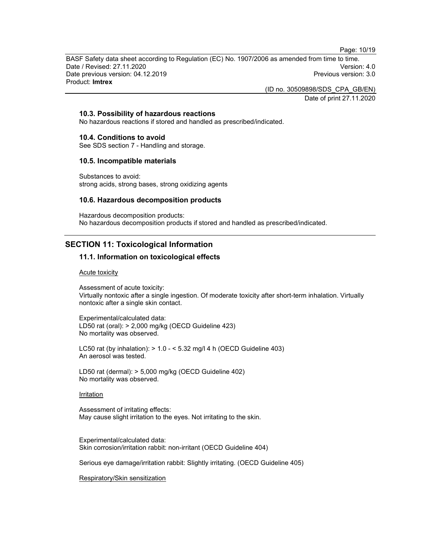Page: 10/19

BASF Safety data sheet according to Regulation (EC) No. 1907/2006 as amended from time to time. Date / Revised: 27.11.2020 Version: 4.0 Date previous version: 04.12.2019 **Previous version: 3.0** Previous version: 3.0 Product: Imtrex

(ID no. 30509898/SDS\_CPA\_GB/EN)

Date of print 27.11.2020

## 10.3. Possibility of hazardous reactions

No hazardous reactions if stored and handled as prescribed/indicated.

#### 10.4. Conditions to avoid

See SDS section 7 - Handling and storage.

#### 10.5. Incompatible materials

Substances to avoid: strong acids, strong bases, strong oxidizing agents

#### 10.6. Hazardous decomposition products

Hazardous decomposition products: No hazardous decomposition products if stored and handled as prescribed/indicated.

# SECTION 11: Toxicological Information

## 11.1. Information on toxicological effects

#### Acute toxicity

Assessment of acute toxicity: Virtually nontoxic after a single ingestion. Of moderate toxicity after short-term inhalation. Virtually nontoxic after a single skin contact.

Experimental/calculated data: LD50 rat (oral): > 2,000 mg/kg (OECD Guideline 423) No mortality was observed.

LC50 rat (by inhalation):  $> 1.0 - 5.32$  mg/l 4 h (OECD Guideline 403) An aerosol was tested.

LD50 rat (dermal): > 5,000 mg/kg (OECD Guideline 402) No mortality was observed.

#### Irritation

Assessment of irritating effects: May cause slight irritation to the eyes. Not irritating to the skin.

Experimental/calculated data: Skin corrosion/irritation rabbit: non-irritant (OECD Guideline 404)

Serious eye damage/irritation rabbit: Slightly irritating. (OECD Guideline 405)

Respiratory/Skin sensitization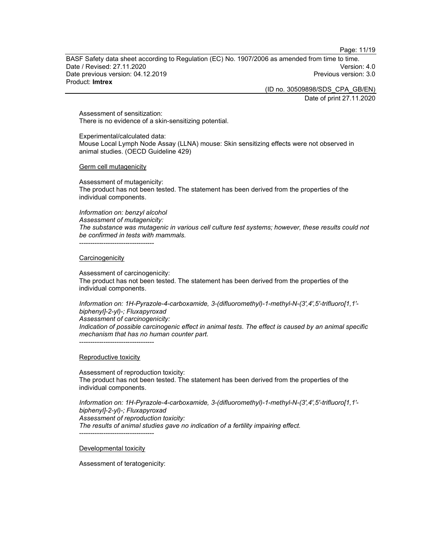Page: 11/19

BASF Safety data sheet according to Regulation (EC) No. 1907/2006 as amended from time to time. Date / Revised: 27.11.2020 Version: 4.0 Date previous version: 04.12.2019 **Previous version: 3.0** Previous version: 3.0 Product: Imtrex

(ID no. 30509898/SDS\_CPA\_GB/EN)

Date of print 27.11.2020

Assessment of sensitization: There is no evidence of a skin-sensitizing potential.

Experimental/calculated data: Mouse Local Lymph Node Assay (LLNA) mouse: Skin sensitizing effects were not observed in animal studies. (OECD Guideline 429)

Germ cell mutagenicity

Assessment of mutagenicity: The product has not been tested. The statement has been derived from the properties of the individual components.

Information on: benzyl alcohol Assessment of mutagenicity: The substance was mutagenic in various cell culture test systems; however, these results could not be confirmed in tests with mammals. ----------------------------------

#### **Carcinogenicity**

Assessment of carcinogenicity: The product has not been tested. The statement has been derived from the properties of the individual components.

Information on: 1H-Pyrazole-4-carboxamide, 3-(difluoromethyl)-1-methyl-N-(3',4',5'-trifluoro[1,1' biphenyl]-2-yl)-; Fluxapyroxad Assessment of carcinogenicity:

Indication of possible carcinogenic effect in animal tests. The effect is caused by an animal specific mechanism that has no human counter part. ----------------------------------

Reproductive toxicity

Assessment of reproduction toxicity: The product has not been tested. The statement has been derived from the properties of the individual components.

Information on: 1H-Pyrazole-4-carboxamide, 3-(difluoromethyl)-1-methyl-N-(3',4',5'-trifluoro[1,1' biphenyl]-2-yl)-; Fluxapyroxad Assessment of reproduction toxicity: The results of animal studies gave no indication of a fertility impairing effect. ----------------------------------

Developmental toxicity

Assessment of teratogenicity: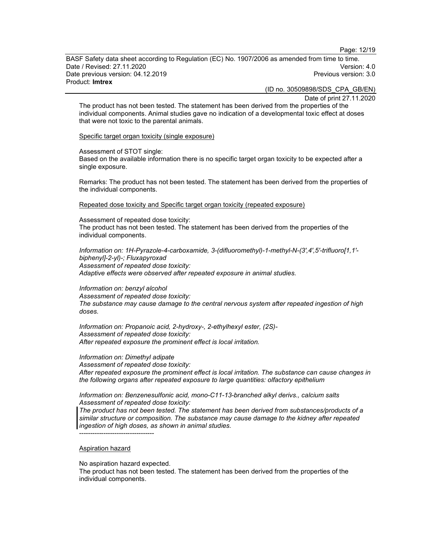Page: 12/19

BASF Safety data sheet according to Regulation (EC) No. 1907/2006 as amended from time to time. Date / Revised: 27.11.2020 Version: 4.0 Date previous version: 04.12.2019 **Previous version: 3.0** Previous version: 3.0 Product: Imtrex

(ID no. 30509898/SDS\_CPA\_GB/EN)

Date of print 27.11.2020

The product has not been tested. The statement has been derived from the properties of the individual components. Animal studies gave no indication of a developmental toxic effect at doses that were not toxic to the parental animals.

Specific target organ toxicity (single exposure)

Assessment of STOT single:

Based on the available information there is no specific target organ toxicity to be expected after a single exposure.

Remarks: The product has not been tested. The statement has been derived from the properties of the individual components.

Repeated dose toxicity and Specific target organ toxicity (repeated exposure)

Assessment of repeated dose toxicity: The product has not been tested. The statement has been derived from the properties of the individual components.

Information on: 1H-Pyrazole-4-carboxamide, 3-(difluoromethyl)-1-methyl-N-(3',4',5'-trifluoro[1,1' biphenyl]-2-yl)-; Fluxapyroxad Assessment of repeated dose toxicity: Adaptive effects were observed after repeated exposure in animal studies.

Information on: benzyl alcohol Assessment of repeated dose toxicity: The substance may cause damage to the central nervous system after repeated ingestion of high doses.

Information on: Propanoic acid, 2-hydroxy-, 2-ethylhexyl ester, (2S)- Assessment of repeated dose toxicity: After repeated exposure the prominent effect is local irritation.

Information on: Dimethyl adipate

Assessment of repeated dose toxicity: After repeated exposure the prominent effect is local irritation. The substance can cause changes in the following organs after repeated exposure to large quantities: olfactory epithelium

Information on: Benzenesulfonic acid, mono-C11-13-branched alkyl derivs., calcium salts Assessment of repeated dose toxicity:

The product has not been tested. The statement has been derived from substances/products of a similar structure or composition. The substance may cause damage to the kidney after repeated ingestion of high doses, as shown in animal studies.

----------------------------------

#### Aspiration hazard

No aspiration hazard expected.

The product has not been tested. The statement has been derived from the properties of the individual components.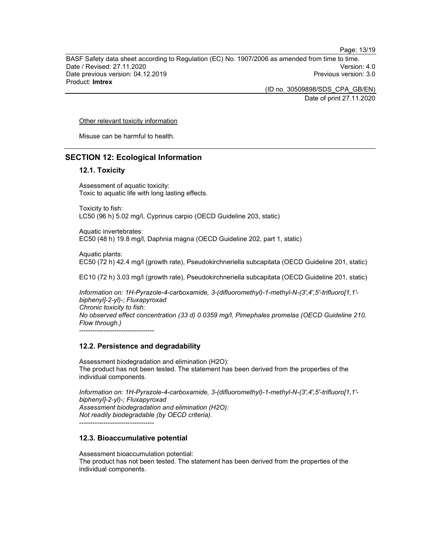Page: 13/19

BASF Safety data sheet according to Regulation (EC) No. 1907/2006 as amended from time to time. Date / Revised: 27.11.2020 Version: 4.0 Date previous version: 04.12.2019 **Previous version: 3.0** Previous version: 3.0 Product: Imtrex

> (ID no. 30509898/SDS\_CPA\_GB/EN) Date of print 27.11.2020

Other relevant toxicity information

Misuse can be harmful to health.

## SECTION 12: Ecological Information

## 12.1. Toxicity

Assessment of aquatic toxicity: Toxic to aquatic life with long lasting effects.

Toxicity to fish: LC50 (96 h) 5.02 mg/l, Cyprinus carpio (OECD Guideline 203, static)

Aquatic invertebrates: EC50 (48 h) 19.8 mg/l, Daphnia magna (OECD Guideline 202, part 1, static)

Aquatic plants: EC50 (72 h) 42.4 mg/l (growth rate), Pseudokirchneriella subcapitata (OECD Guideline 201, static)

EC10 (72 h) 3.03 mg/l (growth rate), Pseudokirchneriella subcapitata (OECD Guideline 201, static)

Information on: 1H-Pyrazole-4-carboxamide, 3-(difluoromethyl)-1-methyl-N-(3',4',5'-trifluoro[1,1' biphenyl]-2-yl)-; Fluxapyroxad Chronic toxicity to fish: No observed effect concentration (33 d) 0.0359 mg/l, Pimephales promelas (OECD Guideline 210, Flow through.) ----------------------------------

#### 12.2. Persistence and degradability

Assessment biodegradation and elimination (H2O): The product has not been tested. The statement has been derived from the properties of the individual components.

Information on: 1H-Pyrazole-4-carboxamide, 3-(difluoromethyl)-1-methyl-N-(3',4',5'-trifluoro[1,1' biphenyl]-2-yl)-; Fluxapyroxad Assessment biodegradation and elimination (H2O): Not readily biodegradable (by OECD criteria).

----------------------------------

# 12.3. Bioaccumulative potential

Assessment bioaccumulation potential: The product has not been tested. The statement has been derived from the properties of the individual components.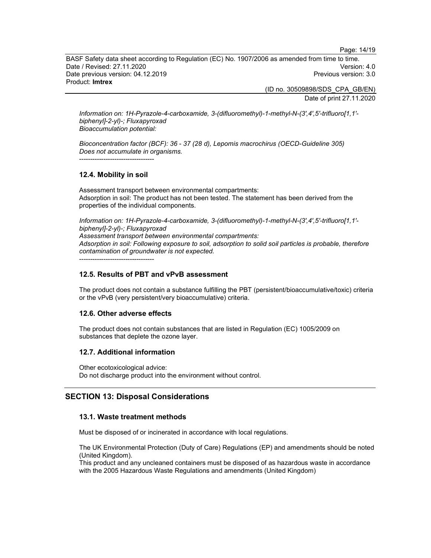Page: 14/19

BASF Safety data sheet according to Regulation (EC) No. 1907/2006 as amended from time to time. Date / Revised: 27.11.2020 Version: 4.0 Date previous version: 04.12.2019 **Previous version: 3.0** Previous version: 3.0 Product: Imtrex

(ID no. 30509898/SDS\_CPA\_GB/EN)

Date of print 27.11.2020

Information on: 1H-Pyrazole-4-carboxamide, 3-(difluoromethyl)-1-methyl-N-(3',4',5'-trifluoro[1,1' biphenyl]-2-yl)-; Fluxapyroxad Bioaccumulation potential:

Bioconcentration factor (BCF): 36 - 37 (28 d), Lepomis macrochirus (OECD-Guideline 305) Does not accumulate in organisms.

----------------------------------

## 12.4. Mobility in soil

Assessment transport between environmental compartments: Adsorption in soil: The product has not been tested. The statement has been derived from the properties of the individual components.

Information on: 1H-Pyrazole-4-carboxamide, 3-(difluoromethyl)-1-methyl-N-(3',4',5'-trifluoro[1,1' biphenyl]-2-yl)-; Fluxapyroxad Assessment transport between environmental compartments: Adsorption in soil: Following exposure to soil, adsorption to solid soil particles is probable, therefore contamination of groundwater is not expected. ----------------------------------

# 12.5. Results of PBT and vPvB assessment

The product does not contain a substance fulfilling the PBT (persistent/bioaccumulative/toxic) criteria or the vPvB (very persistent/very bioaccumulative) criteria.

#### 12.6. Other adverse effects

The product does not contain substances that are listed in Regulation (EC) 1005/2009 on substances that deplete the ozone layer.

#### 12.7. Additional information

Other ecotoxicological advice: Do not discharge product into the environment without control.

# SECTION 13: Disposal Considerations

#### 13.1. Waste treatment methods

Must be disposed of or incinerated in accordance with local regulations.

The UK Environmental Protection (Duty of Care) Regulations (EP) and amendments should be noted (United Kingdom).

This product and any uncleaned containers must be disposed of as hazardous waste in accordance with the 2005 Hazardous Waste Regulations and amendments (United Kingdom)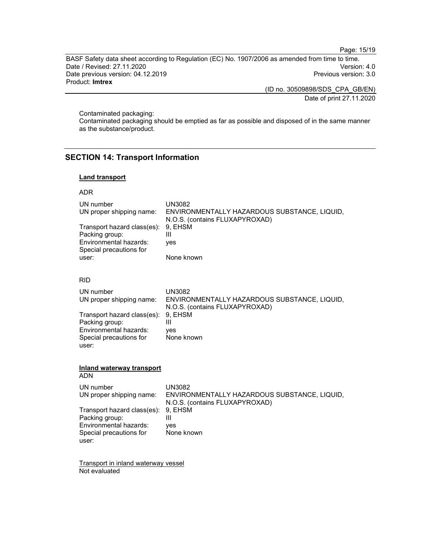Page: 15/19

BASF Safety data sheet according to Regulation (EC) No. 1907/2006 as amended from time to time. Date / Revised: 27.11.2020 Date previous version: 04.12.2019 Previous version: 3.0 Product: Imtrex

(ID no. 30509898/SDS\_CPA\_GB/EN)

Date of print 27.11.2020

Contaminated packaging:

Contaminated packaging should be emptied as far as possible and disposed of in the same manner as the substance/product.

# SECTION 14: Transport Information

## Land transport

#### ADR

| UN number<br>UN proper shipping name:<br>Transport hazard class(es):<br>Packing group:<br>Environmental hazards:<br>Special precautions for<br>user: | <b>UN3082</b><br>ENVIRONMENTALLY HAZARDOUS SUBSTANCE, LIQUID,<br>N.O.S. (contains FLUXAPYROXAD)<br>9, EHSM<br>Ш<br>yes<br>None known |  |
|------------------------------------------------------------------------------------------------------------------------------------------------------|--------------------------------------------------------------------------------------------------------------------------------------|--|
| <b>RID</b>                                                                                                                                           |                                                                                                                                      |  |
| UN number<br>UN proper shipping name:                                                                                                                | <b>UN3082</b><br>ENVIRONMENTALLY HAZARDOUS SUBSTANCE, LIQUID,<br>N.O.S. (contains FLUXAPYROXAD)                                      |  |
| Transport hazard class(es):<br>Packing group:<br>Environmental hazards:<br>Special precautions for<br>user:                                          | 9, EHSM<br>Ш<br>yes<br>None known                                                                                                    |  |
| <b>Inland waterway transport</b><br><b>ADN</b>                                                                                                       |                                                                                                                                      |  |
| UN number<br>UN proper shipping name:                                                                                                                | <b>UN3082</b><br>ENVIRONMENTALLY HAZARDOUS SUBSTANCE, LIQUID,                                                                        |  |
| Transport hazard class(es):<br>Packing group:<br>Environmental hazards:<br>Special precautions for<br>user:                                          | N.O.S. (contains FLUXAPYROXAD)<br>9, EHSM<br>Ш<br>yes<br>None known                                                                  |  |
| $T$ rononort in inland watomway waaaal                                                                                                               |                                                                                                                                      |  |

Transport in inland waterway vessel Not evaluated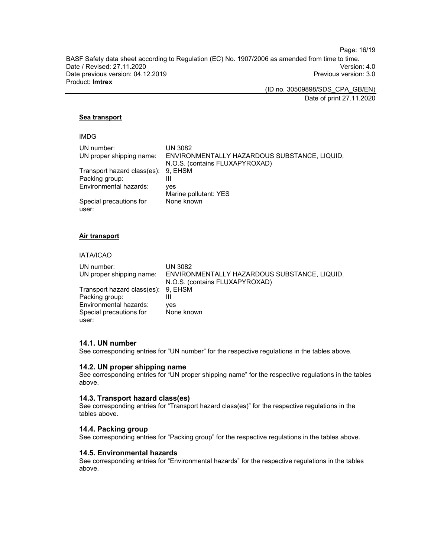Page: 16/19

BASF Safety data sheet according to Regulation (EC) No. 1907/2006 as amended from time to time. Date / Revised: 27.11.2020 Version: 4.0 Date previous version: 04.12.2019 **Previous version: 3.0** Previous version: 3.0 Product: Imtrex

(ID no. 30509898/SDS\_CPA\_GB/EN)

Date of print 27.11.2020

# Sea transport

| v |  |
|---|--|
|---|--|

| UN number:                          | <b>UN 3082</b>                               |
|-------------------------------------|----------------------------------------------|
| UN proper shipping name:            | ENVIRONMENTALLY HAZARDOUS SUBSTANCE, LIQUID, |
|                                     | N.O.S. (contains FLUXAPYROXAD)               |
| Transport hazard class(es): 9, EHSM |                                              |
| Packing group:                      | Ш                                            |
| Environmental hazards:              | ves                                          |
|                                     | Marine pollutant: YES                        |
| Special precautions for             | None known                                   |
| user:                               |                                              |

#### Air transport

# IATA/ICAO

| UN number:                          | UN 3082                                      |
|-------------------------------------|----------------------------------------------|
| UN proper shipping name:            | ENVIRONMENTALLY HAZARDOUS SUBSTANCE, LIQUID, |
|                                     | N.O.S. (contains FLUXAPYROXAD)               |
| Transport hazard class(es): 9, EHSM |                                              |
| Packing group:                      |                                              |
| Environmental hazards:              | ves                                          |
| Special precautions for             | None known                                   |
| user:                               |                                              |

#### 14.1. UN number

See corresponding entries for "UN number" for the respective regulations in the tables above.

#### 14.2. UN proper shipping name

See corresponding entries for "UN proper shipping name" for the respective regulations in the tables above.

#### 14.3. Transport hazard class(es)

See corresponding entries for "Transport hazard class(es)" for the respective regulations in the tables above.

#### 14.4. Packing group

See corresponding entries for "Packing group" for the respective regulations in the tables above.

# 14.5. Environmental hazards

See corresponding entries for "Environmental hazards" for the respective regulations in the tables above.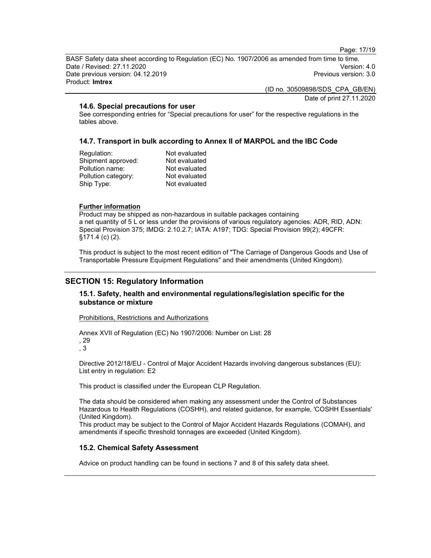Page: 17/19

BASF Safety data sheet according to Regulation (EC) No. 1907/2006 as amended from time to time. Date / Revised: 27.11.2020 Version: 4.0 Date previous version: 04.12.2019 **Previous version: 3.0** Previous version: 3.0 Product: Imtrex

(ID no. 30509898/SDS\_CPA\_GB/EN)

Date of print 27.11.2020

#### 14.6. Special precautions for user

See corresponding entries for "Special precautions for user" for the respective regulations in the tables above.

## 14.7. Transport in bulk according to Annex II of MARPOL and the IBC Code

| Regulation:         | Not evaluated |
|---------------------|---------------|
| Shipment approved:  | Not evaluated |
| Pollution name:     | Not evaluated |
| Pollution category: | Not evaluated |
| Ship Type:          | Not evaluated |

#### Further information

Product may be shipped as non-hazardous in suitable packages containing a net quantity of 5 L or less under the provisions of various regulatory agencies: ADR, RID, ADN: Special Provision 375; IMDG: 2.10.2.7; IATA: A197; TDG: Special Provision 99(2); 49CFR: §171.4 (c) (2).

This product is subject to the most recent edition of "The Carriage of Dangerous Goods and Use of Transportable Pressure Equipment Regulations" and their amendments (United Kingdom).

# SECTION 15: Regulatory Information

## 15.1. Safety, health and environmental regulations/legislation specific for the substance or mixture

Prohibitions, Restrictions and Authorizations

Annex XVII of Regulation (EC) No 1907/2006: Number on List: 28 , 29 , 3

Directive 2012/18/EU - Control of Major Accident Hazards involving dangerous substances (EU): List entry in regulation: E2

This product is classified under the European CLP Regulation.

The data should be considered when making any assessment under the Control of Substances Hazardous to Health Regulations (COSHH), and related guidance, for example, 'COSHH Essentials' (United Kingdom).

This product may be subject to the Control of Major Accident Hazards Regulations (COMAH), and amendments if specific threshold tonnages are exceeded (United Kingdom).

#### 15.2. Chemical Safety Assessment

Advice on product handling can be found in sections 7 and 8 of this safety data sheet.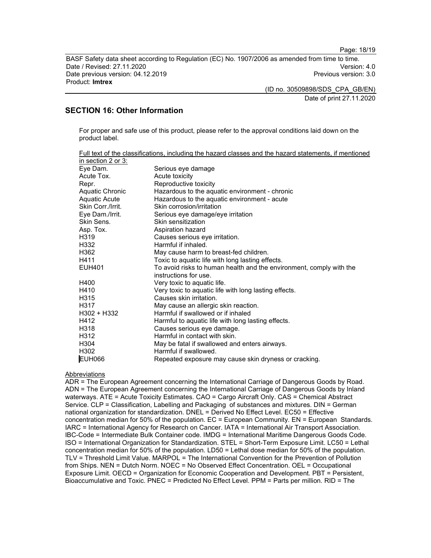Page: 18/19

BASF Safety data sheet according to Regulation (EC) No. 1907/2006 as amended from time to time. Date / Revised: 27.11.2020 Version: 4.0 Date previous version: 04.12.2019 **Previous version: 3.0** Previous version: 3.0 Product: Imtrex

(ID no. 30509898/SDS\_CPA\_GB/EN)

Date of print 27.11.2020

# SECTION 16: Other Information

For proper and safe use of this product, please refer to the approval conditions laid down on the product label.

|                      | Full text of the classifications, including the hazard classes and the hazard statements, if mentioned |
|----------------------|--------------------------------------------------------------------------------------------------------|
| in section 2 or 3:   |                                                                                                        |
| Eye Dam.             | Serious eye damage                                                                                     |
| Acute Tox.           | Acute toxicity                                                                                         |
| Repr.                | Reproductive toxicity                                                                                  |
| Aquatic Chronic      | Hazardous to the aquatic environment - chronic                                                         |
| <b>Aquatic Acute</b> | Hazardous to the aquatic environment - acute                                                           |
| Skin Corr./Irrit.    | Skin corrosion/irritation                                                                              |
| Eye Dam./Irrit.      | Serious eye damage/eye irritation                                                                      |
| Skin Sens.           | Skin sensitization                                                                                     |
| Asp. Tox.            | Aspiration hazard                                                                                      |
| H <sub>3</sub> 19    | Causes serious eye irritation.                                                                         |
| H332                 | Harmful if inhaled.                                                                                    |
| H362                 | May cause harm to breast-fed children.                                                                 |
| H411                 | Toxic to aquatic life with long lasting effects.                                                       |
| <b>EUH401</b>        | To avoid risks to human health and the environment, comply with the                                    |
|                      | instructions for use.                                                                                  |
| H400                 | Very toxic to aquatic life.                                                                            |
| H410                 | Very toxic to aquatic life with long lasting effects.                                                  |
| H <sub>3</sub> 15    | Causes skin irritation.                                                                                |
| H317                 | May cause an allergic skin reaction.                                                                   |
| $H302 + H332$        | Harmful if swallowed or if inhaled                                                                     |
| H412                 | Harmful to aquatic life with long lasting effects.                                                     |
| H318                 | Causes serious eye damage.                                                                             |
| H312                 | Harmful in contact with skin.                                                                          |
| H304                 | May be fatal if swallowed and enters airways.                                                          |
| H302                 | Harmful if swallowed.                                                                                  |
| <b>EUH066</b>        | Repeated exposure may cause skin dryness or cracking.                                                  |

### Abbreviations

ADR = The European Agreement concerning the International Carriage of Dangerous Goods by Road. ADN = The European Agreement concerning the International Carriage of Dangerous Goods by Inland waterways. ATE = Acute Toxicity Estimates. CAO = Cargo Aircraft Only. CAS = Chemical Abstract Service. CLP = Classification, Labelling and Packaging of substances and mixtures. DIN = German national organization for standardization. DNEL = Derived No Effect Level. EC50 = Effective concentration median for 50% of the population. EC = European Community. EN = European Standards. IARC = International Agency for Research on Cancer. IATA = International Air Transport Association. IBC-Code = Intermediate Bulk Container code. IMDG = International Maritime Dangerous Goods Code. ISO = International Organization for Standardization. STEL = Short-Term Exposure Limit. LC50 = Lethal concentration median for 50% of the population. LD50 = Lethal dose median for 50% of the population. TLV = Threshold Limit Value. MARPOL = The International Convention for the Prevention of Pollution from Ships. NEN = Dutch Norm. NOEC = No Observed Effect Concentration. OEL = Occupational Exposure Limit. OECD = Organization for Economic Cooperation and Development. PBT = Persistent, Bioaccumulative and Toxic. PNEC = Predicted No Effect Level. PPM = Parts per million. RID = The